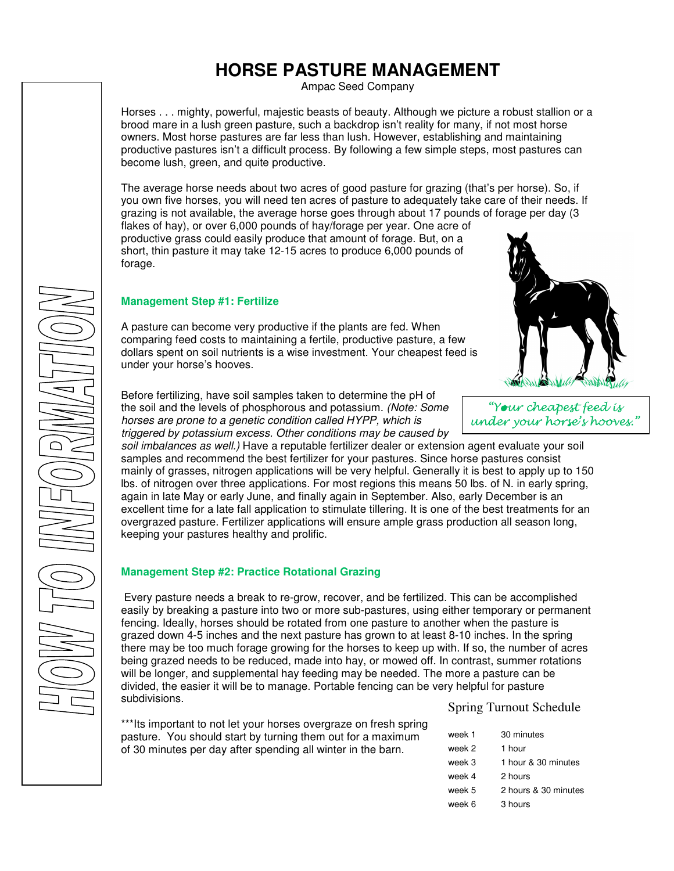# **HORSE PASTURE MANAGEMENT**

Ampac Seed Company

Horses . . . mighty, powerful, majestic beasts of beauty. Although we picture a robust stallion or a brood mare in a lush green pasture, such a backdrop isn't reality for many, if not most horse owners. Most horse pastures are far less than lush. However, establishing and maintaining productive pastures isn't a difficult process. By following a few simple steps, most pastures can become lush, green, and quite productive.

The average horse needs about two acres of good pasture for grazing (that's per horse). So, if you own five horses, you will need ten acres of pasture to adequately take care of their needs. If grazing is not available, the average horse goes through about 17 pounds of forage per day (3

flakes of hay), or over 6,000 pounds of hay/forage per year. One acre of productive grass could easily produce that amount of forage. But, on a short, thin pasture it may take 12-15 acres to produce 6,000 pounds of forage.

### **Management Step #1: Fertilize**

A pasture can become very productive if the plants are fed. When comparing feed costs to maintaining a fertile, productive pasture, a few dollars spent on soil nutrients is a wise investment. Your cheapest feed is under your horse's hooves.

Before fertilizing, have soil samples taken to determine the pH of the soil and the levels of phosphorous and potassium. (Note: Some horses are prone to a genetic condition called HYPP, which is triggered by potassium excess. Other conditions may be caused by

soil imbalances as well.) Have a reputable fertilizer dealer or extension agent evaluate your soil samples and recommend the best fertilizer for your pastures. Since horse pastures consist mainly of grasses, nitrogen applications will be very helpful. Generally it is best to apply up to 150 lbs. of nitrogen over three applications. For most regions this means 50 lbs. of N. in early spring, again in late May or early June, and finally again in September. Also, early December is an excellent time for a late fall application to stimulate tillering. It is one of the best treatments for an overgrazed pasture. Fertilizer applications will ensure ample grass production all season long, keeping your pastures healthy and prolific.

## **Management Step #2: Practice Rotational Grazing**

 Every pasture needs a break to re-grow, recover, and be fertilized. This can be accomplished easily by breaking a pasture into two or more sub-pastures, using either temporary or permanent fencing. Ideally, horses should be rotated from one pasture to another when the pasture is grazed down 4-5 inches and the next pasture has grown to at least 8-10 inches. In the spring there may be too much forage growing for the horses to keep up with. If so, the number of acres being grazed needs to be reduced, made into hay, or mowed off. In contrast, summer rotations will be longer, and supplemental hay feeding may be needed. The more a pasture can be divided, the easier it will be to manage. Portable fencing can be very helpful for pasture subdivisions.

\*\*\*Its important to not let your horses overgraze on fresh spring pasture. You should start by turning them out for a maximum of 30 minutes per day after spending all winter in the barn.

# Spring Turnout Schedule

| week 1 | 30 minutes           |
|--------|----------------------|
| week 2 | 1 hour               |
| week 3 | 1 hour & 30 minutes  |
| week 4 | 2 hours              |
| week 5 | 2 hours & 30 minutes |
| week 6 | 3 hours              |





"Your cheapest feed is under your horse's hooves."